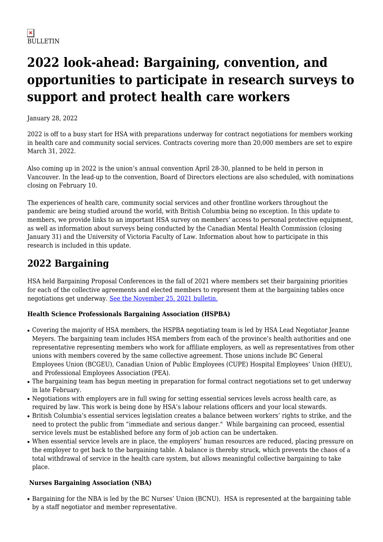# **2022 look-ahead: Bargaining, convention, and opportunities to participate in research surveys to support and protect health care workers**

January 28, 2022

2022 is off to a busy start for HSA with preparations underway for contract negotiations for members working in health care and community social services. Contracts covering more than 20,000 members are set to expire March 31, 2022.

Also coming up in 2022 is the union's annual convention April 28-30, planned to be held in person in Vancouver. In the lead-up to the convention, Board of Directors elections are also scheduled, with nominations closing on February 10.

The experiences of health care, community social services and other frontline workers throughout the pandemic are being studied around the world, with British Columbia being no exception. In this update to members, we provide links to an important HSA survey on members' access to personal protective equipment, as well as information about surveys being conducted by the Canadian Mental Health Commission (closing January 31) and the University of Victoria Faculty of Law. Information about how to participate in this research is included in this update.

# **2022 Bargaining**

HSA held Bargaining Proposal Conferences in the fall of 2021 where members set their bargaining priorities for each of the collective agreements and elected members to represent them at the bargaining tables once negotiations get underway. [See the November 25, 2021 bulletin.](https://hsabc.org/news/hsa-members-look-ahead-bargaining-2022)

## **Health Science Professionals Bargaining Association (HSPBA)**

- Covering the majority of HSA members, the HSPBA negotiating team is led by HSA Lead Negotiator Jeanne Meyers. The bargaining team includes HSA members from each of the province's health authorities and one representative representing members who work for affiliate employers, as well as representatives from other unions with members covered by the same collective agreement. Those unions include BC General Employees Union (BCGEU), Canadian Union of Public Employees (CUPE) Hospital Employees' Union (HEU), and Professional Employees Association (PEA).
- The bargaining team has begun meeting in preparation for formal contract negotiations set to get underway in late February.
- Negotiations with employers are in full swing for setting essential services levels across health care, as required by law. This work is being done by HSA's labour relations officers and your local stewards.
- British Columbia's essential services legislation creates a balance between workers' rights to strike, and the need to protect the public from "immediate and serious danger." While bargaining can proceed, essential service levels must be established before any form of job action can be undertaken.
- When essential service levels are in place, the employers' human resources are reduced, placing pressure on the employer to get back to the bargaining table. A balance is thereby struck, which prevents the chaos of a total withdrawal of service in the health care system, but allows meaningful collective bargaining to take place.

## **Nurses Bargaining Association (NBA)**

• Bargaining for the NBA is led by the BC Nurses' Union (BCNU). HSA is represented at the bargaining table by a staff negotiator and member representative.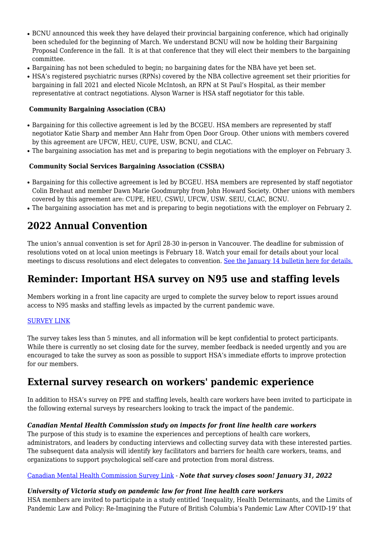- BCNU announced this week they have delayed their provincial bargaining conference, which had originally been scheduled for the beginning of March. We understand BCNU will now be holding their Bargaining Proposal Conference in the fall. It is at that conference that they will elect their members to the bargaining committee.
- Bargaining has not been scheduled to begin; no bargaining dates for the NBA have yet been set.
- HSA's registered psychiatric nurses (RPNs) covered by the NBA collective agreement set their priorities for bargaining in fall 2021 and elected Nicole McIntosh, an RPN at St Paul's Hospital, as their member representative at contract negotiations. Alyson Warner is HSA staff negotiator for this table.

### **Community Bargaining Association (CBA)**

- Bargaining for this collective agreement is led by the BCGEU. HSA members are represented by staff negotiator Katie Sharp and member Ann Hahr from Open Door Group. Other unions with members covered by this agreement are UFCW, HEU, CUPE, USW, BCNU, and CLAC.
- The bargaining association has met and is preparing to begin negotiations with the employer on February 3.

### **Community Social Services Bargaining Association (CSSBA)**

- Bargaining for this collective agreement is led by BCGEU. HSA members are represented by staff negotiator Colin Brehaut and member Dawn Marie Goodmurphy from John Howard Society. Other unions with members covered by this agreement are: CUPE, HEU, CSWU, UFCW, USW. SEIU, CLAC, BCNU.
- The bargaining association has met and is preparing to begin negotiations with the employer on February 2.

# **2022 Annual Convention**

The union's annual convention is set for April 28-30 in-person in Vancouver. The deadline for submission of resolutions voted on at local union meetings is February 18. Watch your email for details about your local meetings to discuss resolutions and elect delegates to convention. [See the January 14 bulletin here for details.](https://hsabc.org/news/hsa-annual-convention-set-april-28-%E2%80%93-30-deadline-resolutions-february-18-2022)

# **Reminder: Important HSA survey on N95 use and staffing levels**

Members working in a front line capacity are urged to complete the survey below to report issues around access to N95 masks and staffing levels as impacted by the current pandemic wave.

### [SURVEY LINK](https://www.surveymonkey.com/r/Y5YHW77)

The survey takes less than 5 minutes, and all information will be kept confidential to protect participants. While there is currently no set closing date for the survey, member feedback is needed urgently and you are encouraged to take the survey as soon as possible to support HSA's immediate efforts to improve protection for our members.

# **External survey research on workers' pandemic experience**

In addition to HSA's survey on PPE and staffing levels, health care workers have been invited to participate in the following external surveys by researchers looking to track the impact of the pandemic.

### *Canadian Mental Health Commission study on impacts for front line health care workers*

The purpose of this study is to examine the experiences and perceptions of health care workers, administrators, and leaders by conducting interviews and collecting survey data with these interested parties. The subsequent data analysis will identify key facilitators and barriers for health care workers, teams, and organizations to support psychological self-care and protection from moral distress.

#### [Canadian Mental Health Commission Survey Link](https://hecmontreal.eu.qualtrics.com/jfe/form/SV_cMGvWAgXoR5DxYi) - *Note that survey closes soon! January 31, 2022*

#### *University of Victoria study on pandemic law for front line health care workers*

HSA members are invited to participate in a study entitled 'Inequality, Health Determinants, and the Limits of Pandemic Law and Policy: Re-Imagining the Future of British Columbia's Pandemic Law After COVID-19' that